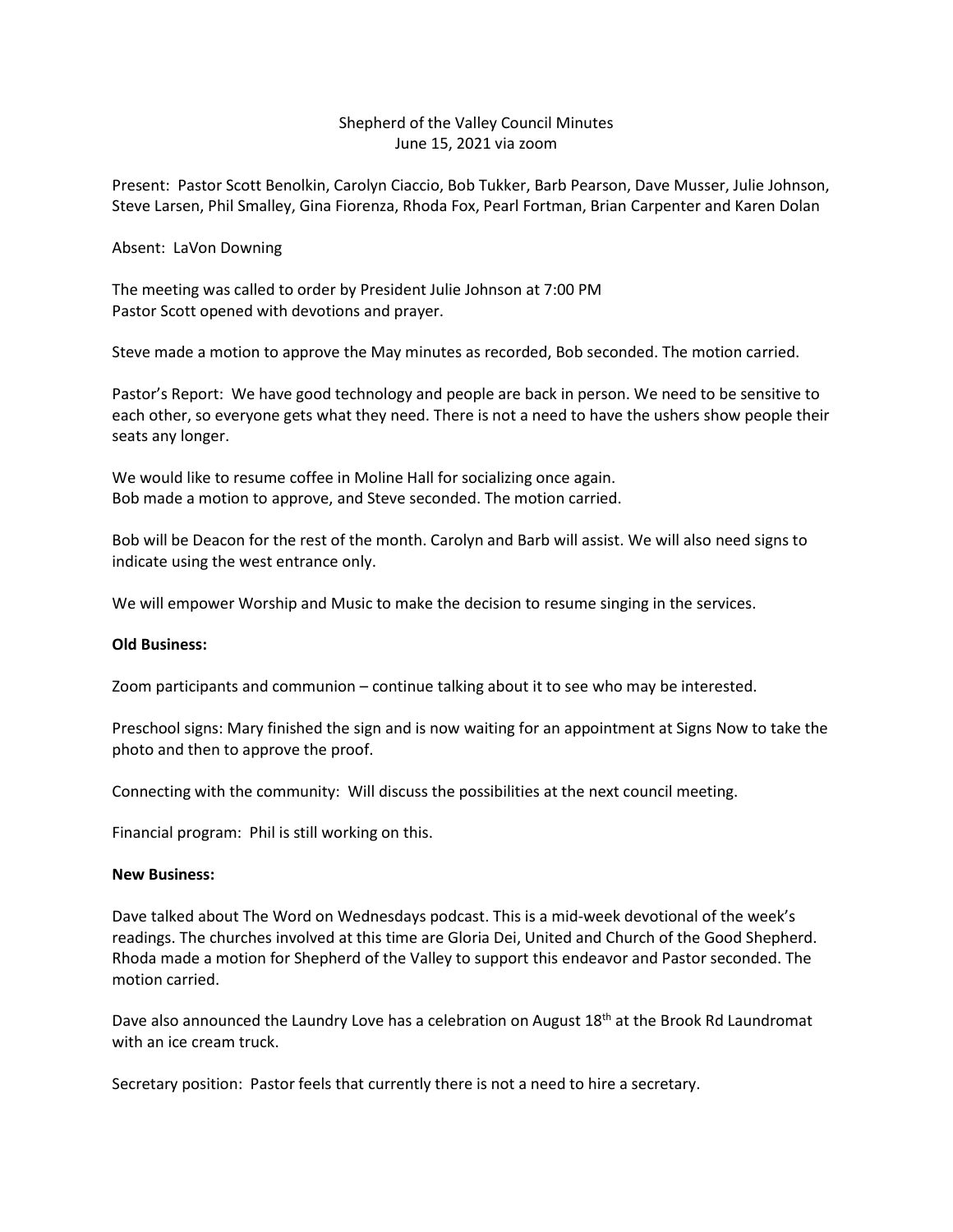## Shepherd of the Valley Council Minutes June 15, 2021 via zoom

Present: Pastor Scott Benolkin, Carolyn Ciaccio, Bob Tukker, Barb Pearson, Dave Musser, Julie Johnson, Steve Larsen, Phil Smalley, Gina Fiorenza, Rhoda Fox, Pearl Fortman, Brian Carpenter and Karen Dolan

Absent: LaVon Downing

The meeting was called to order by President Julie Johnson at 7:00 PM Pastor Scott opened with devotions and prayer.

Steve made a motion to approve the May minutes as recorded, Bob seconded. The motion carried.

Pastor's Report: We have good technology and people are back in person. We need to be sensitive to each other, so everyone gets what they need. There is not a need to have the ushers show people their seats any longer.

We would like to resume coffee in Moline Hall for socializing once again. Bob made a motion to approve, and Steve seconded. The motion carried.

Bob will be Deacon for the rest of the month. Carolyn and Barb will assist. We will also need signs to indicate using the west entrance only.

We will empower Worship and Music to make the decision to resume singing in the services.

## **Old Business:**

Zoom participants and communion – continue talking about it to see who may be interested.

Preschool signs: Mary finished the sign and is now waiting for an appointment at Signs Now to take the photo and then to approve the proof.

Connecting with the community: Will discuss the possibilities at the next council meeting.

Financial program: Phil is still working on this.

## **New Business:**

Dave talked about The Word on Wednesdays podcast. This is a mid-week devotional of the week's readings. The churches involved at this time are Gloria Dei, United and Church of the Good Shepherd. Rhoda made a motion for Shepherd of the Valley to support this endeavor and Pastor seconded. The motion carried.

Dave also announced the Laundry Love has a celebration on August  $18<sup>th</sup>$  at the Brook Rd Laundromat with an ice cream truck.

Secretary position: Pastor feels that currently there is not a need to hire a secretary.